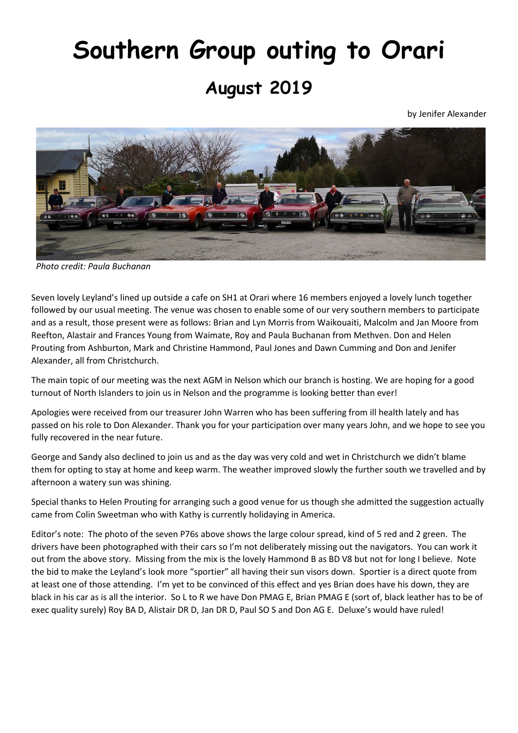## **Southern Group outing to Orari August 2019**

by Jenifer Alexander



*Photo credit: Paula Buchanan*

Seven lovely Leyland's lined up outside a cafe on SH1 at Orari where 16 members enjoyed a lovely lunch together followed by our usual meeting. The venue was chosen to enable some of our very southern members to participate and as a result, those present were as follows: Brian and Lyn Morris from Waikouaiti, Malcolm and Jan Moore from Reefton, Alastair and Frances Young from Waimate, Roy and Paula Buchanan from Methven. Don and Helen Prouting from Ashburton, Mark and Christine Hammond, Paul Jones and Dawn Cumming and Don and Jenifer Alexander, all from Christchurch.

The main topic of our meeting was the next AGM in Nelson which our branch is hosting. We are hoping for a good turnout of North Islanders to join us in Nelson and the programme is looking better than ever!

Apologies were received from our treasurer John Warren who has been suffering from ill health lately and has passed on his role to Don Alexander. Thank you for your participation over many years John, and we hope to see you fully recovered in the near future.

George and Sandy also declined to join us and as the day was very cold and wet in Christchurch we didn't blame them for opting to stay at home and keep warm. The weather improved slowly the further south we travelled and by afternoon a watery sun was shining.

Special thanks to Helen Prouting for arranging such a good venue for us though she admitted the suggestion actually came from Colin Sweetman who with Kathy is currently holidaying in America.

Editor's note: The photo of the seven P76s above shows the large colour spread, kind of 5 red and 2 green. The drivers have been photographed with their cars so I'm not deliberately missing out the navigators. You can work it out from the above story. Missing from the mix is the lovely Hammond B as BD V8 but not for long I believe. Note the bid to make the Leyland's look more "sportier" all having their sun visors down. Sportier is a direct quote from at least one of those attending. I'm yet to be convinced of this effect and yes Brian does have his down, they are black in his car as is all the interior. So L to R we have Don PMAG E, Brian PMAG E (sort of, black leather has to be of exec quality surely) Roy BA D, Alistair DR D, Jan DR D, Paul SO S and Don AG E. Deluxe's would have ruled!